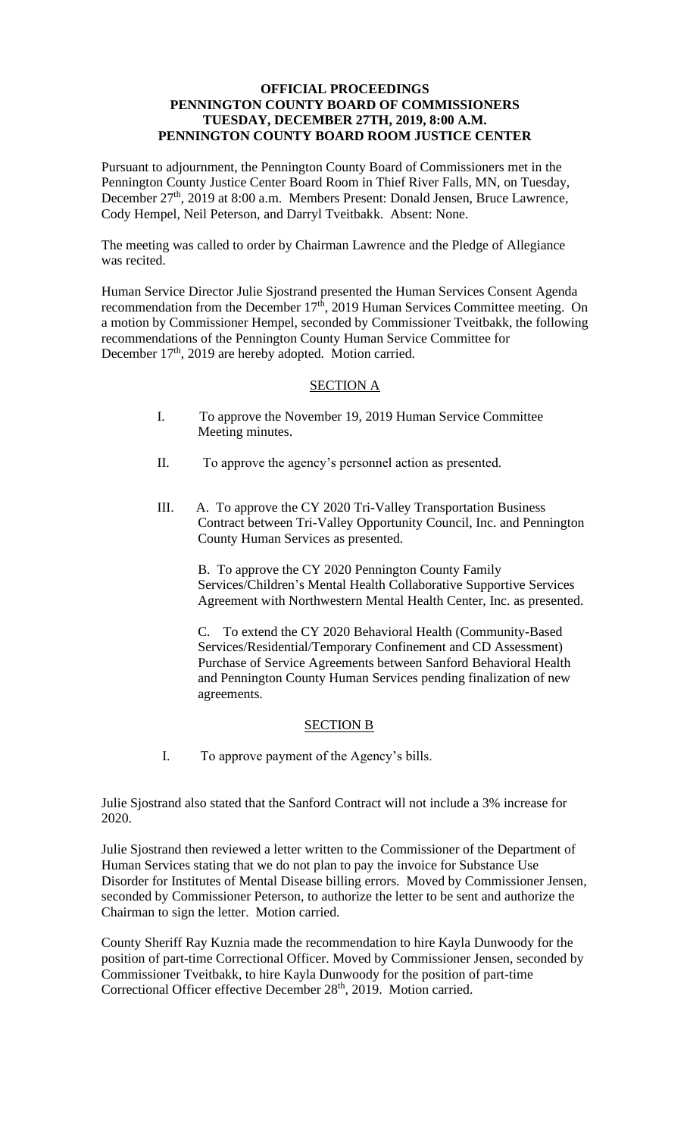### **OFFICIAL PROCEEDINGS PENNINGTON COUNTY BOARD OF COMMISSIONERS TUESDAY, DECEMBER 27TH, 2019, 8:00 A.M. PENNINGTON COUNTY BOARD ROOM JUSTICE CENTER**

Pursuant to adjournment, the Pennington County Board of Commissioners met in the Pennington County Justice Center Board Room in Thief River Falls, MN, on Tuesday, December 27<sup>th</sup>, 2019 at 8:00 a.m. Members Present: Donald Jensen, Bruce Lawrence, Cody Hempel, Neil Peterson, and Darryl Tveitbakk. Absent: None.

The meeting was called to order by Chairman Lawrence and the Pledge of Allegiance was recited.

Human Service Director Julie Sjostrand presented the Human Services Consent Agenda recommendation from the December 17<sup>th</sup>, 2019 Human Services Committee meeting. On a motion by Commissioner Hempel, seconded by Commissioner Tveitbakk, the following recommendations of the Pennington County Human Service Committee for December 17<sup>th</sup>, 2019 are hereby adopted. Motion carried.

# SECTION A

- I. To approve the November 19, 2019 Human Service Committee Meeting minutes.
- II. To approve the agency's personnel action as presented.
- III. A. To approve the CY 2020 Tri-Valley Transportation Business Contract between Tri-Valley Opportunity Council, Inc. and Pennington County Human Services as presented.

B. To approve the CY 2020 Pennington County Family Services/Children's Mental Health Collaborative Supportive Services Agreement with Northwestern Mental Health Center, Inc. as presented.

C. To extend the CY 2020 Behavioral Health (Community-Based Services/Residential/Temporary Confinement and CD Assessment) Purchase of Service Agreements between Sanford Behavioral Health and Pennington County Human Services pending finalization of new agreements.

### SECTION B

I. To approve payment of the Agency's bills.

Julie Sjostrand also stated that the Sanford Contract will not include a 3% increase for 2020.

Julie Sjostrand then reviewed a letter written to the Commissioner of the Department of Human Services stating that we do not plan to pay the invoice for Substance Use Disorder for Institutes of Mental Disease billing errors. Moved by Commissioner Jensen, seconded by Commissioner Peterson, to authorize the letter to be sent and authorize the Chairman to sign the letter. Motion carried.

County Sheriff Ray Kuznia made the recommendation to hire Kayla Dunwoody for the position of part-time Correctional Officer. Moved by Commissioner Jensen, seconded by Commissioner Tveitbakk, to hire Kayla Dunwoody for the position of part-time Correctional Officer effective December 28<sup>th</sup>, 2019. Motion carried.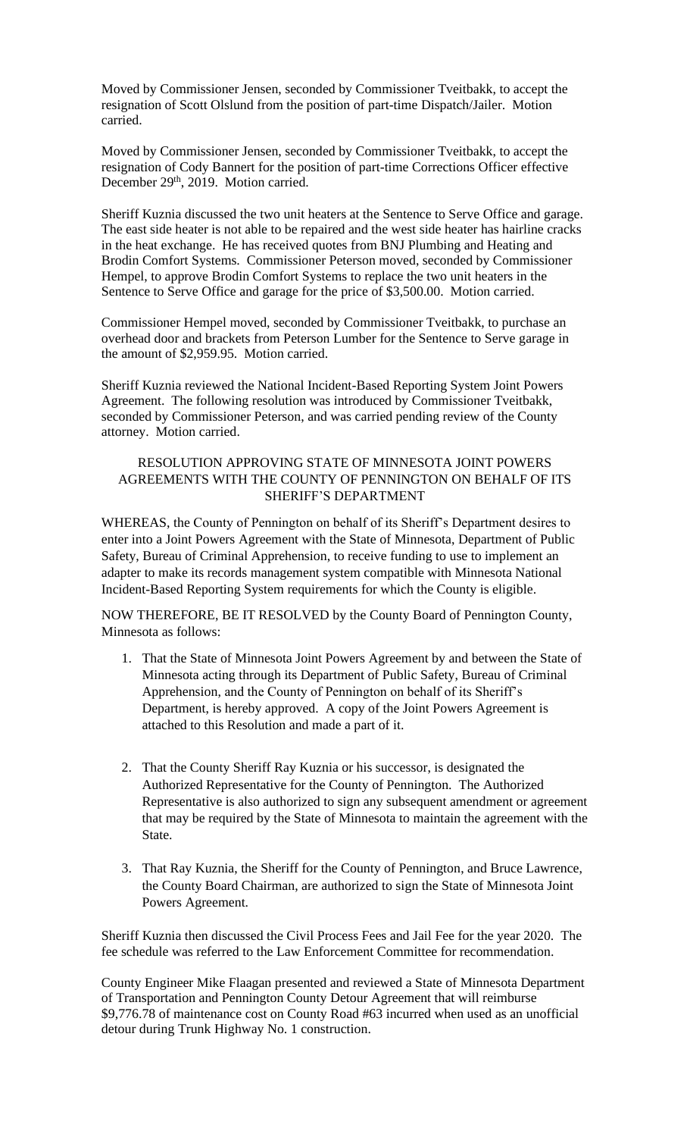Moved by Commissioner Jensen, seconded by Commissioner Tveitbakk, to accept the resignation of Scott Olslund from the position of part-time Dispatch/Jailer. Motion carried.

Moved by Commissioner Jensen, seconded by Commissioner Tveitbakk, to accept the resignation of Cody Bannert for the position of part-time Corrections Officer effective December 29<sup>th</sup>, 2019. Motion carried.

Sheriff Kuznia discussed the two unit heaters at the Sentence to Serve Office and garage. The east side heater is not able to be repaired and the west side heater has hairline cracks in the heat exchange. He has received quotes from BNJ Plumbing and Heating and Brodin Comfort Systems. Commissioner Peterson moved, seconded by Commissioner Hempel, to approve Brodin Comfort Systems to replace the two unit heaters in the Sentence to Serve Office and garage for the price of \$3,500.00. Motion carried.

Commissioner Hempel moved, seconded by Commissioner Tveitbakk, to purchase an overhead door and brackets from Peterson Lumber for the Sentence to Serve garage in the amount of \$2,959.95. Motion carried.

Sheriff Kuznia reviewed the National Incident-Based Reporting System Joint Powers Agreement. The following resolution was introduced by Commissioner Tveitbakk, seconded by Commissioner Peterson, and was carried pending review of the County attorney. Motion carried.

## RESOLUTION APPROVING STATE OF MINNESOTA JOINT POWERS AGREEMENTS WITH THE COUNTY OF PENNINGTON ON BEHALF OF ITS SHERIFF'S DEPARTMENT

WHEREAS, the County of Pennington on behalf of its Sheriff's Department desires to enter into a Joint Powers Agreement with the State of Minnesota, Department of Public Safety, Bureau of Criminal Apprehension, to receive funding to use to implement an adapter to make its records management system compatible with Minnesota National Incident-Based Reporting System requirements for which the County is eligible.

NOW THEREFORE, BE IT RESOLVED by the County Board of Pennington County, Minnesota as follows:

- 1. That the State of Minnesota Joint Powers Agreement by and between the State of Minnesota acting through its Department of Public Safety, Bureau of Criminal Apprehension, and the County of Pennington on behalf of its Sheriff's Department, is hereby approved. A copy of the Joint Powers Agreement is attached to this Resolution and made a part of it.
- 2. That the County Sheriff Ray Kuznia or his successor, is designated the Authorized Representative for the County of Pennington. The Authorized Representative is also authorized to sign any subsequent amendment or agreement that may be required by the State of Minnesota to maintain the agreement with the State.
- 3. That Ray Kuznia, the Sheriff for the County of Pennington, and Bruce Lawrence, the County Board Chairman, are authorized to sign the State of Minnesota Joint Powers Agreement.

Sheriff Kuznia then discussed the Civil Process Fees and Jail Fee for the year 2020. The fee schedule was referred to the Law Enforcement Committee for recommendation.

County Engineer Mike Flaagan presented and reviewed a State of Minnesota Department of Transportation and Pennington County Detour Agreement that will reimburse \$9,776.78 of maintenance cost on County Road #63 incurred when used as an unofficial detour during Trunk Highway No. 1 construction.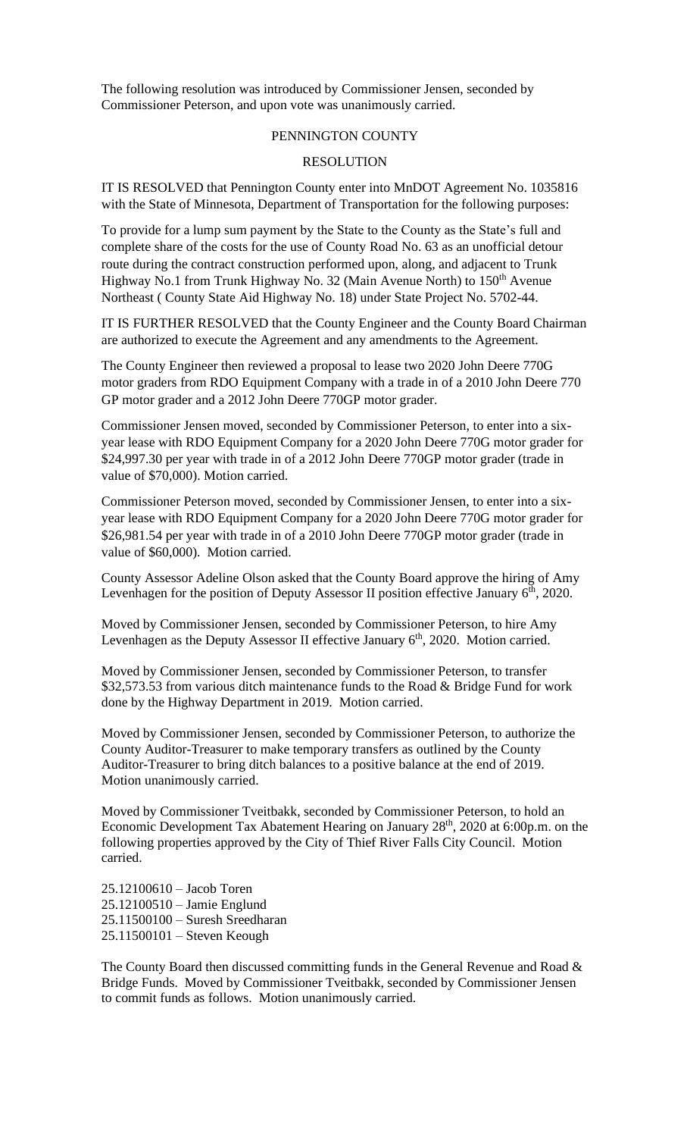The following resolution was introduced by Commissioner Jensen, seconded by Commissioner Peterson, and upon vote was unanimously carried.

### PENNINGTON COUNTY

### RESOLUTION

IT IS RESOLVED that Pennington County enter into MnDOT Agreement No. 1035816 with the State of Minnesota, Department of Transportation for the following purposes:

To provide for a lump sum payment by the State to the County as the State's full and complete share of the costs for the use of County Road No. 63 as an unofficial detour route during the contract construction performed upon, along, and adjacent to Trunk Highway No.1 from Trunk Highway No. 32 (Main Avenue North) to  $150<sup>th</sup>$  Avenue Northeast ( County State Aid Highway No. 18) under State Project No. 5702-44.

IT IS FURTHER RESOLVED that the County Engineer and the County Board Chairman are authorized to execute the Agreement and any amendments to the Agreement.

The County Engineer then reviewed a proposal to lease two 2020 John Deere 770G motor graders from RDO Equipment Company with a trade in of a 2010 John Deere 770 GP motor grader and a 2012 John Deere 770GP motor grader.

Commissioner Jensen moved, seconded by Commissioner Peterson, to enter into a sixyear lease with RDO Equipment Company for a 2020 John Deere 770G motor grader for \$24,997.30 per year with trade in of a 2012 John Deere 770GP motor grader (trade in value of \$70,000). Motion carried.

Commissioner Peterson moved, seconded by Commissioner Jensen, to enter into a sixyear lease with RDO Equipment Company for a 2020 John Deere 770G motor grader for \$26,981.54 per year with trade in of a 2010 John Deere 770GP motor grader (trade in value of \$60,000). Motion carried.

County Assessor Adeline Olson asked that the County Board approve the hiring of Amy Levenhagen for the position of Deputy Assessor II position effective January  $6<sup>th</sup>$ , 2020.

Moved by Commissioner Jensen, seconded by Commissioner Peterson, to hire Amy Levenhagen as the Deputy Assessor II effective January  $6<sup>th</sup>$ , 2020. Motion carried.

Moved by Commissioner Jensen, seconded by Commissioner Peterson, to transfer \$32,573.53 from various ditch maintenance funds to the Road & Bridge Fund for work done by the Highway Department in 2019. Motion carried.

Moved by Commissioner Jensen, seconded by Commissioner Peterson, to authorize the County Auditor-Treasurer to make temporary transfers as outlined by the County Auditor-Treasurer to bring ditch balances to a positive balance at the end of 2019. Motion unanimously carried.

Moved by Commissioner Tveitbakk, seconded by Commissioner Peterson, to hold an Economic Development Tax Abatement Hearing on January 28<sup>th</sup>, 2020 at 6:00p.m. on the following properties approved by the City of Thief River Falls City Council. Motion carried.

25.12100610 – Jacob Toren 25.12100510 – Jamie Englund 25.11500100 – Suresh Sreedharan 25.11500101 – Steven Keough

The County Board then discussed committing funds in the General Revenue and Road & Bridge Funds. Moved by Commissioner Tveitbakk, seconded by Commissioner Jensen to commit funds as follows. Motion unanimously carried.